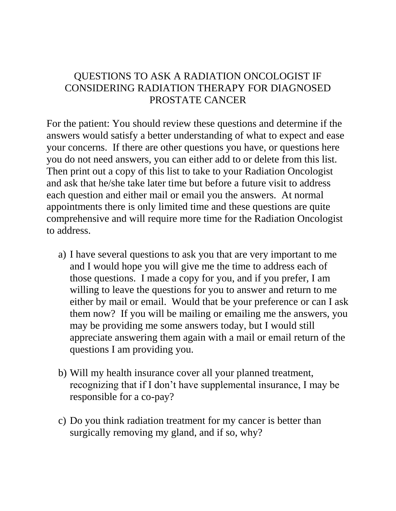## QUESTIONS TO ASK A RADIATION ONCOLOGIST IF CONSIDERING RADIATION THERAPY FOR DIAGNOSED PROSTATE CANCER

For the patient: You should review these questions and determine if the answers would satisfy a better understanding of what to expect and ease your concerns. If there are other questions you have, or questions here you do not need answers, you can either add to or delete from this list. Then print out a copy of this list to take to your Radiation Oncologist and ask that he/she take later time but before a future visit to address each question and either mail or email you the answers. At normal appointments there is only limited time and these questions are quite comprehensive and will require more time for the Radiation Oncologist to address.

- a) I have several questions to ask you that are very important to me and I would hope you will give me the time to address each of those questions. I made a copy for you, and if you prefer, I am willing to leave the questions for you to answer and return to me either by mail or email. Would that be your preference or can I ask them now? If you will be mailing or emailing me the answers, you may be providing me some answers today, but I would still appreciate answering them again with a mail or email return of the questions I am providing you.
- b) Will my health insurance cover all your planned treatment, recognizing that if I don't have supplemental insurance, I may be responsible for a co-pay?
- c) Do you think radiation treatment for my cancer is better than surgically removing my gland, and if so, why?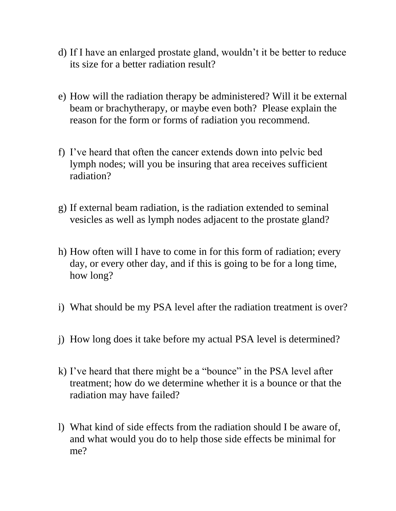- d) If I have an enlarged prostate gland, wouldn't it be better to reduce its size for a better radiation result?
- e) How will the radiation therapy be administered? Will it be external beam or brachytherapy, or maybe even both? Please explain the reason for the form or forms of radiation you recommend.
- f) I've heard that often the cancer extends down into pelvic bed lymph nodes; will you be insuring that area receives sufficient radiation?
- g) If external beam radiation, is the radiation extended to seminal vesicles as well as lymph nodes adjacent to the prostate gland?
- h) How often will I have to come in for this form of radiation; every day, or every other day, and if this is going to be for a long time, how long?
- i) What should be my PSA level after the radiation treatment is over?
- j) How long does it take before my actual PSA level is determined?
- k) I've heard that there might be a "bounce" in the PSA level after treatment; how do we determine whether it is a bounce or that the radiation may have failed?
- l) What kind of side effects from the radiation should I be aware of, and what would you do to help those side effects be minimal for me?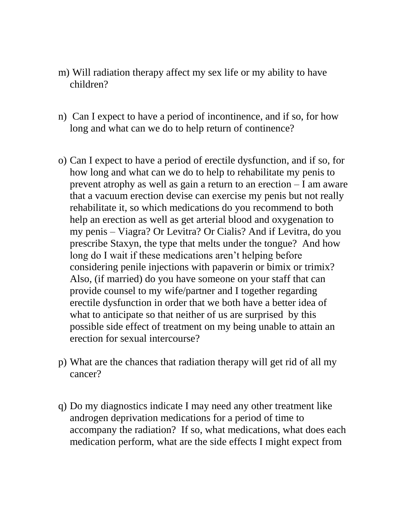- m) Will radiation therapy affect my sex life or my ability to have children?
- n) Can I expect to have a period of incontinence, and if so, for how long and what can we do to help return of continence?
- o) Can I expect to have a period of erectile dysfunction, and if so, for how long and what can we do to help to rehabilitate my penis to prevent atrophy as well as gain a return to an erection – I am aware that a vacuum erection devise can exercise my penis but not really rehabilitate it, so which medications do you recommend to both help an erection as well as get arterial blood and oxygenation to my penis – Viagra? Or Levitra? Or Cialis? And if Levitra, do you prescribe Staxyn, the type that melts under the tongue? And how long do I wait if these medications aren't helping before considering penile injections with papaverin or bimix or trimix? Also, (if married) do you have someone on your staff that can provide counsel to my wife/partner and I together regarding erectile dysfunction in order that we both have a better idea of what to anticipate so that neither of us are surprised by this possible side effect of treatment on my being unable to attain an erection for sexual intercourse?
- p) What are the chances that radiation therapy will get rid of all my cancer?
- q) Do my diagnostics indicate I may need any other treatment like androgen deprivation medications for a period of time to accompany the radiation? If so, what medications, what does each medication perform, what are the side effects I might expect from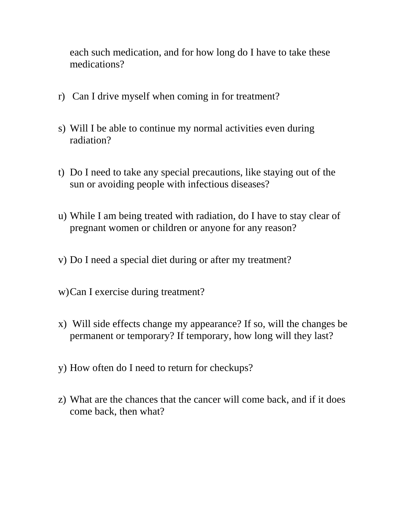each such medication, and for how long do I have to take these medications?

- r) Can I drive myself when coming in for treatment?
- s) Will I be able to continue my normal activities even during radiation?
- t) Do I need to take any special precautions, like staying out of the sun or avoiding people with infectious diseases?
- u) While I am being treated with radiation, do I have to stay clear of pregnant women or children or anyone for any reason?
- v) Do I need a special diet during or after my treatment?
- w)Can I exercise during treatment?
- x) Will side effects change my appearance? If so, will the changes be permanent or temporary? If temporary, how long will they last?
- y) How often do I need to return for checkups?
- z) What are the chances that the cancer will come back, and if it does come back, then what?